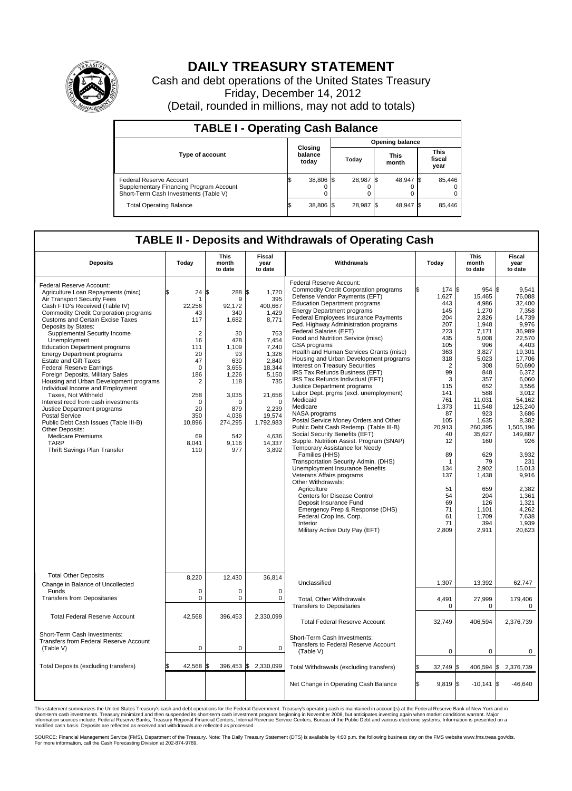

## **DAILY TREASURY STATEMENT**

Cash and debt operations of the United States Treasury Friday, December 14, 2012 (Detail, rounded in millions, may not add to totals)

| <b>TABLE I - Operating Cash Balance</b>                                                                     |                             |        |                        |           |                      |                |                               |        |  |  |
|-------------------------------------------------------------------------------------------------------------|-----------------------------|--------|------------------------|-----------|----------------------|----------------|-------------------------------|--------|--|--|
|                                                                                                             | Closing<br>balance<br>today |        | <b>Opening balance</b> |           |                      |                |                               |        |  |  |
| <b>Type of account</b>                                                                                      |                             |        | Today                  |           | <b>This</b><br>month |                | <b>This</b><br>fiscal<br>year |        |  |  |
| Federal Reserve Account<br>Supplementary Financing Program Account<br>Short-Term Cash Investments (Table V) |                             | 38,806 |                        | 28,987 \$ |                      | 48,947 \$<br>0 |                               | 85,446 |  |  |
| <b>Total Operating Balance</b>                                                                              |                             | 38,806 |                        | 28,987    |                      | 48,947 \$      |                               | 85,446 |  |  |

## **TABLE II - Deposits and Withdrawals of Operating Cash**

| <b>Deposits</b>                                                                                                                                                                                                                                                                                                                                                                                                                                                                                                                                                                                                                                                                                                                                                                                                           | Today                                                                                                                                                                       | <b>This</b><br>month<br>to date                                                                                                                                             | Fiscal<br>year<br>to date                                                                                                                                                                              | Withdrawals                                                                                                                                                                                                                                                                                                                                                                                                                                                                                                                                                                                                                                                                                                                                                                                                                                                                                                                                                                                                                                                                                                                                                                                                                | Today                                                                                                                                                                                                                                              | <b>This</b><br>month<br>to date                                                                                                                                                                                                                                                            | Fiscal<br>year<br>to date                                                                                                                                                                                                                                                                                                     |  |  |  |
|---------------------------------------------------------------------------------------------------------------------------------------------------------------------------------------------------------------------------------------------------------------------------------------------------------------------------------------------------------------------------------------------------------------------------------------------------------------------------------------------------------------------------------------------------------------------------------------------------------------------------------------------------------------------------------------------------------------------------------------------------------------------------------------------------------------------------|-----------------------------------------------------------------------------------------------------------------------------------------------------------------------------|-----------------------------------------------------------------------------------------------------------------------------------------------------------------------------|--------------------------------------------------------------------------------------------------------------------------------------------------------------------------------------------------------|----------------------------------------------------------------------------------------------------------------------------------------------------------------------------------------------------------------------------------------------------------------------------------------------------------------------------------------------------------------------------------------------------------------------------------------------------------------------------------------------------------------------------------------------------------------------------------------------------------------------------------------------------------------------------------------------------------------------------------------------------------------------------------------------------------------------------------------------------------------------------------------------------------------------------------------------------------------------------------------------------------------------------------------------------------------------------------------------------------------------------------------------------------------------------------------------------------------------------|----------------------------------------------------------------------------------------------------------------------------------------------------------------------------------------------------------------------------------------------------|--------------------------------------------------------------------------------------------------------------------------------------------------------------------------------------------------------------------------------------------------------------------------------------------|-------------------------------------------------------------------------------------------------------------------------------------------------------------------------------------------------------------------------------------------------------------------------------------------------------------------------------|--|--|--|
| Federal Reserve Account:<br>Agriculture Loan Repayments (misc)<br>Air Transport Security Fees<br>Cash FTD's Received (Table IV)<br><b>Commodity Credit Corporation programs</b><br>Customs and Certain Excise Taxes<br>Deposits by States:<br>Supplemental Security Income<br>Unemployment<br><b>Education Department programs</b><br><b>Energy Department programs</b><br><b>Estate and Gift Taxes</b><br><b>Federal Reserve Earnings</b><br>Foreign Deposits, Military Sales<br>Housing and Urban Development programs<br>Individual Income and Employment<br>Taxes, Not Withheld<br>Interest recd from cash investments<br>Justice Department programs<br><b>Postal Service</b><br>Public Debt Cash Issues (Table III-B)<br>Other Deposits:<br><b>Medicare Premiums</b><br><b>TARP</b><br>Thrift Savings Plan Transfer | 24<br>\$.<br>1<br>22,256<br>43<br>117<br>$\overline{2}$<br>16<br>111<br>20<br>47<br>$\mathbf 0$<br>186<br>2<br>258<br>$\Omega$<br>20<br>350<br>10,896<br>69<br>8,041<br>110 | ß.<br>288<br>9<br>92,172<br>340<br>1,682<br>30<br>428<br>1.109<br>93<br>630<br>3,655<br>1,226<br>118<br>3,035<br>$\Omega$<br>879<br>4,036<br>274,295<br>542<br>9,116<br>977 | 1,720<br>Α.<br>395<br>400,667<br>1,429<br>8,771<br>763<br>7.454<br>7.240<br>1,326<br>2,840<br>18,344<br>5,150<br>735<br>21,656<br>$\Omega$<br>2,239<br>19,574<br>1,792,983<br>4,636<br>14,337<br>3,892 | Federal Reserve Account:<br><b>Commodity Credit Corporation programs</b><br>Defense Vendor Payments (EFT)<br><b>Education Department programs</b><br><b>Energy Department programs</b><br><b>Federal Employees Insurance Payments</b><br>Fed. Highway Administration programs<br>Federal Salaries (EFT)<br>Food and Nutrition Service (misc)<br>GSA programs<br>Health and Human Services Grants (misc)<br>Housing and Urban Development programs<br><b>Interest on Treasury Securities</b><br>IRS Tax Refunds Business (EFT)<br>IRS Tax Refunds Individual (EFT)<br>Justice Department programs<br>Labor Dept. prgms (excl. unemployment)<br>Medicaid<br>Medicare<br>NASA programs<br>Postal Service Money Orders and Other<br>Public Debt Cash Redemp. (Table III-B)<br>Social Security Benefits (EFT)<br>Supple. Nutrition Assist. Program (SNAP)<br>Temporary Assistance for Needy<br>Families (HHS)<br>Transportation Security Admin. (DHS)<br>Unemployment Insurance Benefits<br>Veterans Affairs programs<br>Other Withdrawals:<br>Agriculture<br>Centers for Disease Control<br>Deposit Insurance Fund<br>Emergency Prep & Response (DHS)<br>Federal Crop Ins. Corp.<br>Interior<br>Military Active Duty Pay (EFT) | 174 \$<br>1,627<br>443<br>145<br>204<br>207<br>223<br>435<br>105<br>363<br>318<br>$\overline{2}$<br>99<br>3<br>115<br>141<br>761<br>1,373<br>87<br>105<br>20,913<br>40<br>12<br>89<br>1<br>134<br>137<br>51<br>54<br>69<br>71<br>61<br>71<br>2,809 | $954$ \$<br>15,465<br>4,986<br>1,270<br>2,826<br>1,948<br>7,171<br>5,008<br>996<br>3.827<br>5,023<br>308<br>848<br>357<br>652<br>588<br>11,031<br>11,548<br>923<br>1,635<br>260.395<br>35,627<br>160<br>629<br>79<br>2,902<br>1,438<br>659<br>204<br>126<br>1.101<br>1,709<br>394<br>2,911 | 9,541<br>76.088<br>32,400<br>7,358<br>14.739<br>9,976<br>36,989<br>22,570<br>4.403<br>19.301<br>17,706<br>50.690<br>6,372<br>6.060<br>3,556<br>3,012<br>54,162<br>125,240<br>3,686<br>8,382<br>1,505,196<br>149,887<br>926<br>3,932<br>231<br>15,013<br>9,916<br>2,382<br>1,361<br>1,321<br>4.262<br>7,638<br>1,939<br>20,623 |  |  |  |
| <b>Total Other Deposits</b><br>Change in Balance of Uncollected                                                                                                                                                                                                                                                                                                                                                                                                                                                                                                                                                                                                                                                                                                                                                           | 8.220                                                                                                                                                                       | 12.430                                                                                                                                                                      | 36.814                                                                                                                                                                                                 | Unclassified                                                                                                                                                                                                                                                                                                                                                                                                                                                                                                                                                                                                                                                                                                                                                                                                                                                                                                                                                                                                                                                                                                                                                                                                               | 1,307                                                                                                                                                                                                                                              | 13,392                                                                                                                                                                                                                                                                                     | 62,747                                                                                                                                                                                                                                                                                                                        |  |  |  |
| Funds<br><b>Transfers from Depositaries</b>                                                                                                                                                                                                                                                                                                                                                                                                                                                                                                                                                                                                                                                                                                                                                                               | $\mathbf 0$<br>0                                                                                                                                                            | $\mathbf 0$<br>$\mathbf 0$                                                                                                                                                  | $\mathbf 0$<br>$\mathbf 0$                                                                                                                                                                             | Total, Other Withdrawals<br><b>Transfers to Depositaries</b>                                                                                                                                                                                                                                                                                                                                                                                                                                                                                                                                                                                                                                                                                                                                                                                                                                                                                                                                                                                                                                                                                                                                                               | 4,491<br>$\Omega$                                                                                                                                                                                                                                  | 27,999<br>$\Omega$                                                                                                                                                                                                                                                                         | 179,406<br>0                                                                                                                                                                                                                                                                                                                  |  |  |  |
| <b>Total Federal Reserve Account</b>                                                                                                                                                                                                                                                                                                                                                                                                                                                                                                                                                                                                                                                                                                                                                                                      | 42,568                                                                                                                                                                      | 396,453                                                                                                                                                                     | 2,330,099                                                                                                                                                                                              | <b>Total Federal Reserve Account</b>                                                                                                                                                                                                                                                                                                                                                                                                                                                                                                                                                                                                                                                                                                                                                                                                                                                                                                                                                                                                                                                                                                                                                                                       | 32,749                                                                                                                                                                                                                                             | 406,594                                                                                                                                                                                                                                                                                    | 2,376,739                                                                                                                                                                                                                                                                                                                     |  |  |  |
| Short-Term Cash Investments:<br>Transfers from Federal Reserve Account<br>(Table V)                                                                                                                                                                                                                                                                                                                                                                                                                                                                                                                                                                                                                                                                                                                                       | $\mathbf 0$                                                                                                                                                                 | $\mathbf 0$                                                                                                                                                                 | $\mathbf 0$                                                                                                                                                                                            | Short-Term Cash Investments:<br>Transfers to Federal Reserve Account<br>(Table V)                                                                                                                                                                                                                                                                                                                                                                                                                                                                                                                                                                                                                                                                                                                                                                                                                                                                                                                                                                                                                                                                                                                                          | $\mathbf 0$                                                                                                                                                                                                                                        | 0                                                                                                                                                                                                                                                                                          | 0                                                                                                                                                                                                                                                                                                                             |  |  |  |
| Total Deposits (excluding transfers)                                                                                                                                                                                                                                                                                                                                                                                                                                                                                                                                                                                                                                                                                                                                                                                      | 42.568                                                                                                                                                                      | 396,453<br>\$                                                                                                                                                               | \$<br>2,330,099                                                                                                                                                                                        | Total Withdrawals (excluding transfers)                                                                                                                                                                                                                                                                                                                                                                                                                                                                                                                                                                                                                                                                                                                                                                                                                                                                                                                                                                                                                                                                                                                                                                                    | 32,749 \$                                                                                                                                                                                                                                          |                                                                                                                                                                                                                                                                                            | 406,594 \$2,376,739                                                                                                                                                                                                                                                                                                           |  |  |  |
|                                                                                                                                                                                                                                                                                                                                                                                                                                                                                                                                                                                                                                                                                                                                                                                                                           |                                                                                                                                                                             |                                                                                                                                                                             |                                                                                                                                                                                                        | Net Change in Operating Cash Balance                                                                                                                                                                                                                                                                                                                                                                                                                                                                                                                                                                                                                                                                                                                                                                                                                                                                                                                                                                                                                                                                                                                                                                                       | l\$<br>$9,819$ \$                                                                                                                                                                                                                                  | $-10,141$ \$                                                                                                                                                                                                                                                                               | $-46,640$                                                                                                                                                                                                                                                                                                                     |  |  |  |

This statement summarizes the United States Treasury's cash and debt operations for the Federal Government. Treasury's operating cash is maintained in account(s) at the Federal Reserve Bank of New York and in<br>short-term ca

SOURCE: Financial Management Service (FMS), Department of the Treasury. Note: The Daily Treasury Statement (DTS) is available by 4:00 p.m. the following business day on the FMS website www.fms.treas.gov/dts.<br>For more infor